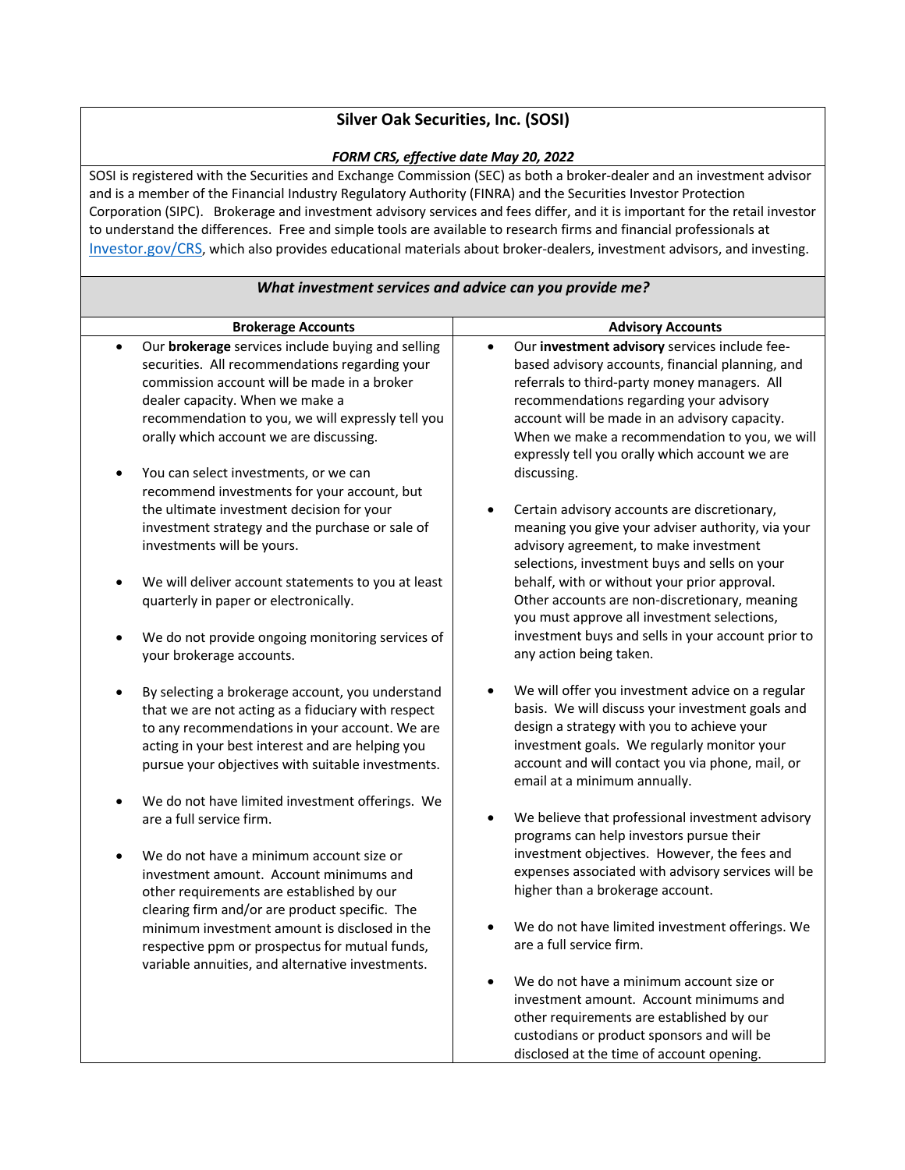## **Silver Oak Securities, Inc. (SOSI)**

## *FORM CRS, effective date May 20, 2022*

SOSI is registered with the Securities and Exchange Commission (SEC) as both a broker-dealer and an investment advisor and is a member of the Financial Industry Regulatory Authority (FINRA) and the Securities Investor Protection Corporation (SIPC). Brokerage and investment advisory services and fees differ, and it is important for the retail investor to understand the differences. Free and simple tools are available to research firms and financial professionals at Investor.gov/CRS, which also provides educational materials about broker-dealers, investment advisors, and investing.

| What investment services and advice can you provide me?                                                                                                                                                                                                                                                                                     |                                                                                                                                                                                                                                                                                                                                                                              |  |
|---------------------------------------------------------------------------------------------------------------------------------------------------------------------------------------------------------------------------------------------------------------------------------------------------------------------------------------------|------------------------------------------------------------------------------------------------------------------------------------------------------------------------------------------------------------------------------------------------------------------------------------------------------------------------------------------------------------------------------|--|
| <b>Brokerage Accounts</b>                                                                                                                                                                                                                                                                                                                   | <b>Advisory Accounts</b>                                                                                                                                                                                                                                                                                                                                                     |  |
| Our brokerage services include buying and selling<br>$\bullet$<br>securities. All recommendations regarding your<br>commission account will be made in a broker<br>dealer capacity. When we make a<br>recommendation to you, we will expressly tell you<br>orally which account we are discussing.<br>You can select investments, or we can | Our investment advisory services include fee-<br>$\bullet$<br>based advisory accounts, financial planning, and<br>referrals to third-party money managers. All<br>recommendations regarding your advisory<br>account will be made in an advisory capacity.<br>When we make a recommendation to you, we will<br>expressly tell you orally which account we are<br>discussing. |  |
| recommend investments for your account, but<br>the ultimate investment decision for your<br>investment strategy and the purchase or sale of<br>investments will be yours.                                                                                                                                                                   | Certain advisory accounts are discretionary,<br>meaning you give your adviser authority, via your<br>advisory agreement, to make investment<br>selections, investment buys and sells on your                                                                                                                                                                                 |  |
| We will deliver account statements to you at least<br>quarterly in paper or electronically.                                                                                                                                                                                                                                                 | behalf, with or without your prior approval.<br>Other accounts are non-discretionary, meaning<br>you must approve all investment selections,                                                                                                                                                                                                                                 |  |
| We do not provide ongoing monitoring services of<br>your brokerage accounts.                                                                                                                                                                                                                                                                | investment buys and sells in your account prior to<br>any action being taken.                                                                                                                                                                                                                                                                                                |  |
| By selecting a brokerage account, you understand<br>that we are not acting as a fiduciary with respect<br>to any recommendations in your account. We are<br>acting in your best interest and are helping you<br>pursue your objectives with suitable investments.                                                                           | We will offer you investment advice on a regular<br>basis. We will discuss your investment goals and<br>design a strategy with you to achieve your<br>investment goals. We regularly monitor your<br>account and will contact you via phone, mail, or<br>email at a minimum annually.                                                                                        |  |
| We do not have limited investment offerings. We<br>are a full service firm.                                                                                                                                                                                                                                                                 | We believe that professional investment advisory<br>programs can help investors pursue their                                                                                                                                                                                                                                                                                 |  |
| We do not have a minimum account size or<br>investment amount. Account minimums and<br>other requirements are established by our<br>clearing firm and/or are product specific. The                                                                                                                                                          | investment objectives. However, the fees and<br>expenses associated with advisory services will be<br>higher than a brokerage account.                                                                                                                                                                                                                                       |  |
| minimum investment amount is disclosed in the<br>respective ppm or prospectus for mutual funds,<br>variable annuities, and alternative investments.                                                                                                                                                                                         | We do not have limited investment offerings. We<br>are a full service firm.                                                                                                                                                                                                                                                                                                  |  |
|                                                                                                                                                                                                                                                                                                                                             | We do not have a minimum account size or<br>investment amount. Account minimums and<br>other requirements are established by our<br>custodians or product sponsors and will be<br>disclosed at the time of account opening.                                                                                                                                                  |  |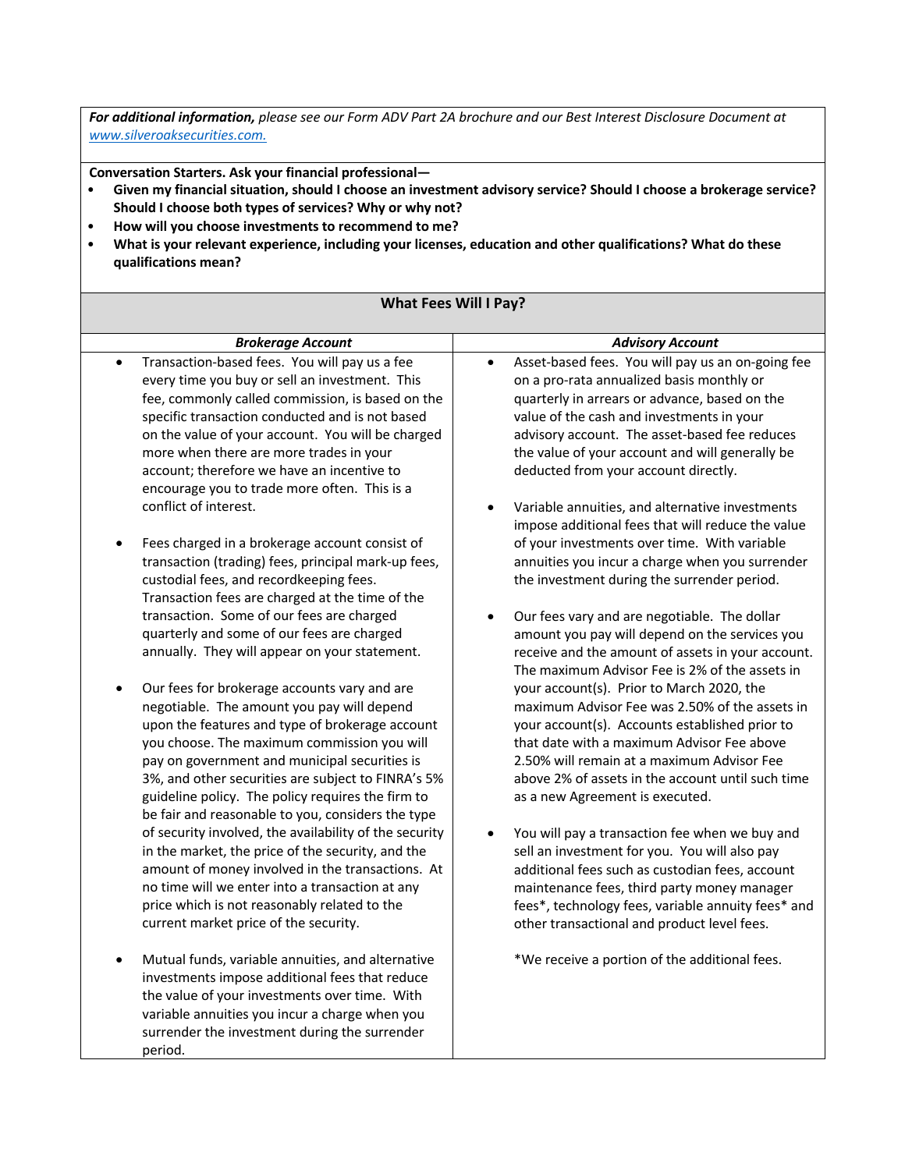*For additional information, please see our Form ADV Part 2A brochure and our Best Interest Disclosure Document at www.silveroaksecurities.com.*

**Conversation Starters. Ask your financial professional—**

- **Given my financial situation, should I choose an investment advisory service? Should I choose a brokerage service? Should I choose both types of services? Why or why not?**
- **How will you choose investments to recommend to me?**
- **What is your relevant experience, including your licenses, education and other qualifications? What do these qualifications mean?**

| <b>What Fees Will I Pay?</b>                                                                                                                                                                                                                                                                                                                                                                                                               |                                                                                                                                                                                                                                                                                                                                                                                                                                                                            |  |
|--------------------------------------------------------------------------------------------------------------------------------------------------------------------------------------------------------------------------------------------------------------------------------------------------------------------------------------------------------------------------------------------------------------------------------------------|----------------------------------------------------------------------------------------------------------------------------------------------------------------------------------------------------------------------------------------------------------------------------------------------------------------------------------------------------------------------------------------------------------------------------------------------------------------------------|--|
| <b>Brokerage Account</b>                                                                                                                                                                                                                                                                                                                                                                                                                   | <b>Advisory Account</b>                                                                                                                                                                                                                                                                                                                                                                                                                                                    |  |
| Transaction-based fees. You will pay us a fee<br>$\bullet$<br>every time you buy or sell an investment. This<br>fee, commonly called commission, is based on the<br>specific transaction conducted and is not based<br>on the value of your account. You will be charged<br>more when there are more trades in your<br>account; therefore we have an incentive to<br>encourage you to trade more often. This is a<br>conflict of interest. | Asset-based fees. You will pay us an on-going fee<br>$\bullet$<br>on a pro-rata annualized basis monthly or<br>quarterly in arrears or advance, based on the<br>value of the cash and investments in your<br>advisory account. The asset-based fee reduces<br>the value of your account and will generally be<br>deducted from your account directly.<br>Variable annuities, and alternative investments<br>$\bullet$<br>impose additional fees that will reduce the value |  |
| Fees charged in a brokerage account consist of<br>٠<br>transaction (trading) fees, principal mark-up fees,<br>custodial fees, and recordkeeping fees.<br>Transaction fees are charged at the time of the<br>transaction. Some of our fees are charged<br>quarterly and some of our fees are charged<br>annually. They will appear on your statement.                                                                                       | of your investments over time. With variable<br>annuities you incur a charge when you surrender<br>the investment during the surrender period.<br>Our fees vary and are negotiable. The dollar<br>$\bullet$<br>amount you pay will depend on the services you<br>receive and the amount of assets in your account.                                                                                                                                                         |  |
| Our fees for brokerage accounts vary and are<br>٠<br>negotiable. The amount you pay will depend<br>upon the features and type of brokerage account<br>you choose. The maximum commission you will<br>pay on government and municipal securities is<br>3%, and other securities are subject to FINRA's 5%<br>guideline policy. The policy requires the firm to<br>be fair and reasonable to you, considers the type                         | The maximum Advisor Fee is 2% of the assets in<br>your account(s). Prior to March 2020, the<br>maximum Advisor Fee was 2.50% of the assets in<br>your account(s). Accounts established prior to<br>that date with a maximum Advisor Fee above<br>2.50% will remain at a maximum Advisor Fee<br>above 2% of assets in the account until such time<br>as a new Agreement is executed.                                                                                        |  |
| of security involved, the availability of the security<br>in the market, the price of the security, and the<br>amount of money involved in the transactions. At<br>no time will we enter into a transaction at any<br>price which is not reasonably related to the<br>current market price of the security.                                                                                                                                | You will pay a transaction fee when we buy and<br>$\bullet$<br>sell an investment for you. You will also pay<br>additional fees such as custodian fees, account<br>maintenance fees, third party money manager<br>fees*, technology fees, variable annuity fees* and<br>other transactional and product level fees.                                                                                                                                                        |  |
| Mutual funds, variable annuities, and alternative<br>$\bullet$<br>investments impose additional fees that reduce<br>the value of your investments over time. With<br>variable annuities you incur a charge when you<br>surrender the investment during the surrender<br>period.                                                                                                                                                            | *We receive a portion of the additional fees.                                                                                                                                                                                                                                                                                                                                                                                                                              |  |

## **What Fees Will I Pay?**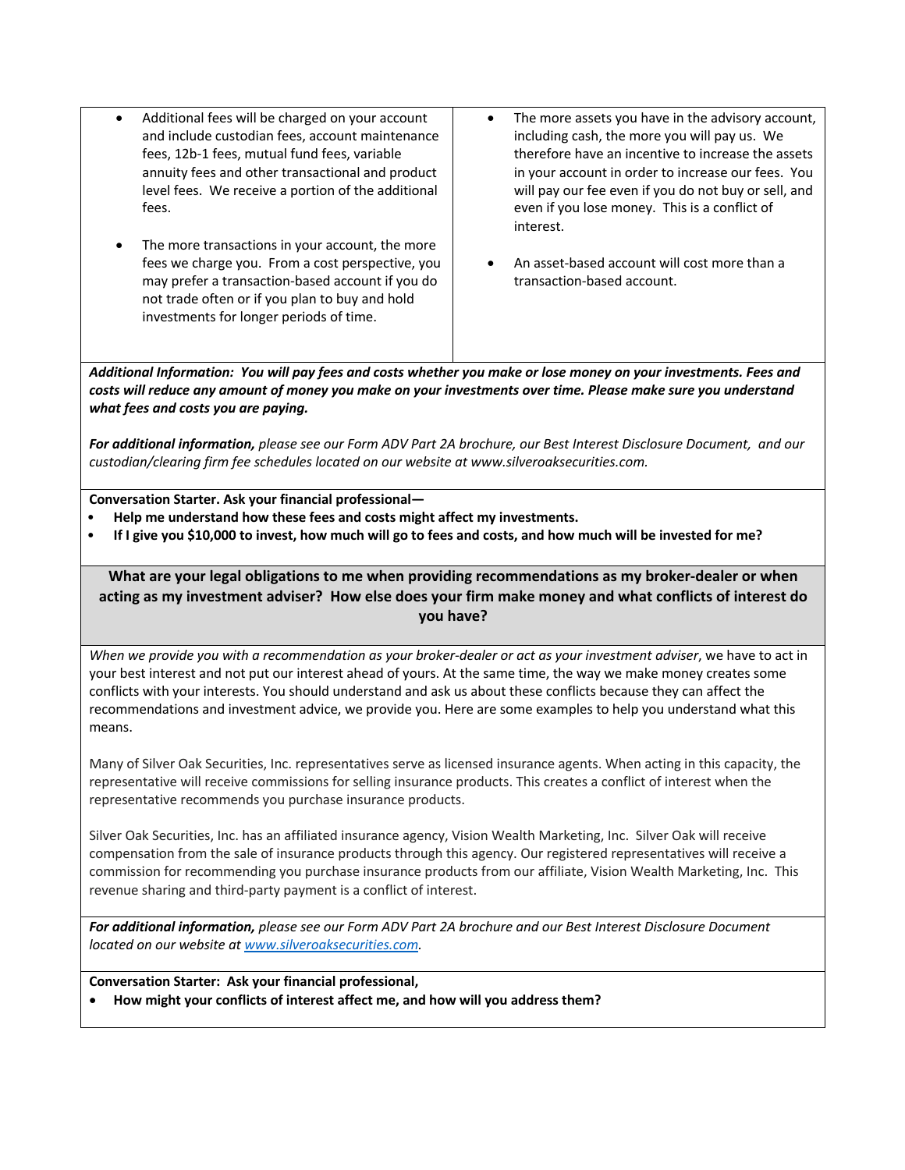- Additional fees will be charged on your account and include custodian fees, account maintenance fees, 12b-1 fees, mutual fund fees, variable annuity fees and other transactional and product level fees. We receive a portion of the additional fees.
- The more transactions in your account, the more fees we charge you. From a cost perspective, you may prefer a transaction-based account if you do not trade often or if you plan to buy and hold investments for longer periods of time.
- The more assets you have in the advisory account, including cash, the more you will pay us. We therefore have an incentive to increase the assets in your account in order to increase our fees. You will pay our fee even if you do not buy or sell, and even if you lose money. This is a conflict of interest.
- An asset-based account will cost more than a transaction-based account.

*Additional Information: You will pay fees and costs whether you make or lose money on your investments. Fees and costs will reduce any amount of money you make on your investments over time. Please make sure you understand what fees and costs you are paying.* 

*For additional information, please see our Form ADV Part 2A brochure, our Best Interest Disclosure Document, and our custodian/clearing firm fee schedules located on our website at www.silveroaksecurities.com.*

**Conversation Starter. Ask your financial professional—**

- **Help me understand how these fees and costs might affect my investments.**
- **If I give you \$10,000 to invest, how much will go to fees and costs, and how much will be invested for me?**

**What are your legal obligations to me when providing recommendations as my broker-dealer or when acting as my investment adviser? How else does your firm make money and what conflicts of interest do you have?**

*When we provide you with a recommendation as your broker-dealer or act as your investment adviser*, we have to act in your best interest and not put our interest ahead of yours. At the same time, the way we make money creates some conflicts with your interests. You should understand and ask us about these conflicts because they can affect the recommendations and investment advice, we provide you. Here are some examples to help you understand what this means.

Many of Silver Oak Securities, Inc. representatives serve as licensed insurance agents. When acting in this capacity, the representative will receive commissions for selling insurance products. This creates a conflict of interest when the representative recommends you purchase insurance products.

Silver Oak Securities, Inc. has an affiliated insurance agency, Vision Wealth Marketing, Inc. Silver Oak will receive compensation from the sale of insurance products through this agency. Our registered representatives will receive a commission for recommending you purchase insurance products from our affiliate, Vision Wealth Marketing, Inc. This revenue sharing and third-party payment is a conflict of interest.

*For additional information, please see our Form ADV Part 2A brochure and our Best Interest Disclosure Document located on our website at www.silveroaksecurities.com.*

**Conversation Starter: Ask your financial professional,**

• **How might your conflicts of interest affect me, and how will you address them?**